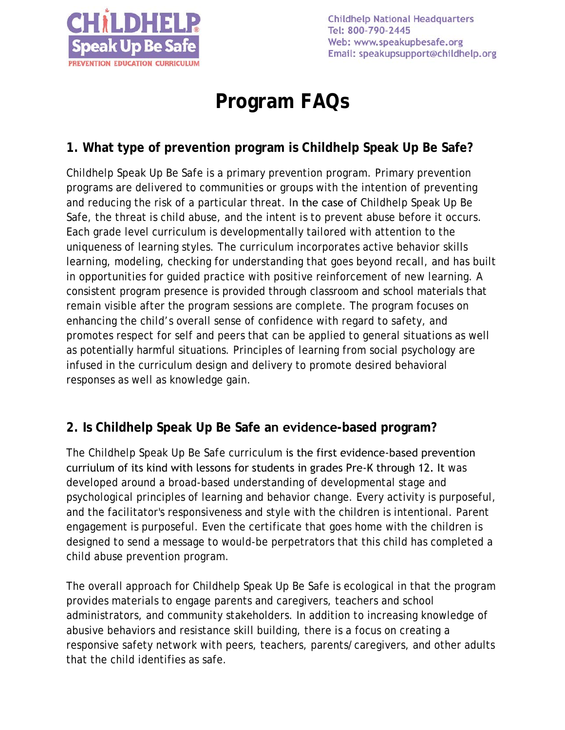

# **Program FAQs**

## **1. What type of prevention program is Childhelp Speak Up Be Safe?**

Childhelp Speak Up Be Safe is a primary prevention program. Primary prevention programs are delivered to communities or groups with the intention of preventing and reducing the risk of a particular threat. In the case of Childhelp Speak Up Be Safe, the threat is child abuse, and the intent is to prevent abuse before it occurs. Each grade level curriculum is developmentally tailored with attention to the uniqueness of learning styles. The curriculum incorporates active behavior skills learning, modeling, checking for understanding that goes beyond recall, and has built in opportunities for guided practice with positive reinforcement of new learning. A consistent program presence is provided through classroom and school materials that remain visible after the program sessions are complete. The program focuses on enhancing the child's overall sense of confidence with regard to safety, and promotes respect for self and peers that can be applied to general situations as well as potentially harmful situations. Principles of learning from social psychology are infused in the curriculum design and delivery to promote desired behavioral responses as well as knowledge gain.

## **2. Is Childhelp Speak Up Be Safe an evidence-based program?**

The Childhelp Speak Up Be Safe curriculum is the first evidence-based prevention curriulum of its kind with lessons for students in grades Pre-K through 12. It was developed around a broad-based understanding of developmental stage and psychological principles of learning and behavior change. Every activity is purposeful, and the facilitator's responsiveness and style with the children is intentional. Parent engagement is purposeful. Even the certificate that goes home with the children is designed to send a message to would-be perpetrators that this child has completed a child abuse prevention program.

The overall approach for Childhelp Speak Up Be Safe is ecological in that the program provides materials to engage parents and caregivers, teachers and school administrators, and community stakeholders. In addition to increasing knowledge of abusive behaviors and resistance skill building, there is a focus on creating a responsive safety network with peers, teachers, parents/caregivers, and other adults that the child identifies as safe.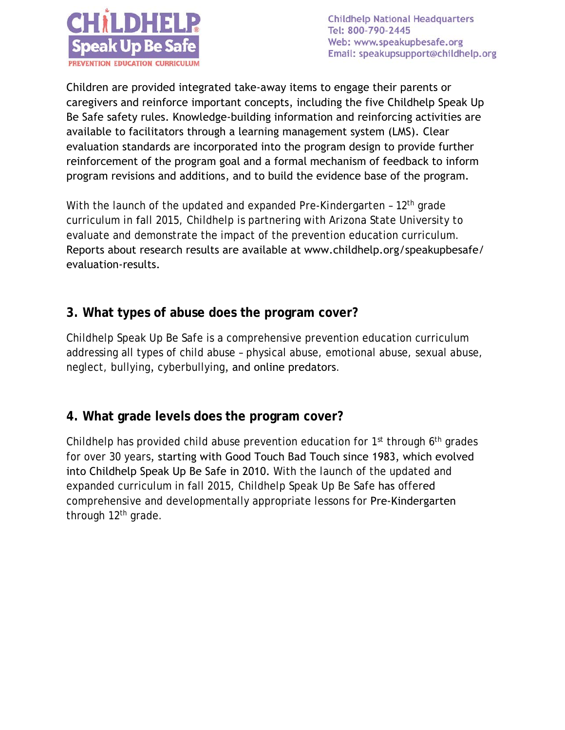

Children are provided integrated take-away items to engage their parents or caregivers and reinforce important concepts, including the five Childhelp Speak Up Be Safe safety rules. Knowledge-building information and reinforcing activities are available to facilitators through a learning management system (LMS). Clear evaluation standards are incorporated into the program design to provide further reinforcement of the program goal and a formal mechanism of feedback to inform program revisions and additions, and to build the evidence base of the program.

With the launch of the updated and expanded Pre-Kindergarten -  $12<sup>th</sup>$  grade curriculum in fall 2015, Childhelp is partnering with Arizona State University to evaluate and demonstrate the impact of the prevention education curriculum. [Reports about research results are available at www.childhelp.org/speakupbesafe/](https://www.childhelp.org/speakupbesafe/evaluation-results/) evaluation-results.

#### **3. What types of abuse does the program cover?**

Childhelp Speak Up Be Safe is a comprehensive prevention education curriculum addressing all types of child abuse – physical abuse, emotional abuse, sexual abuse, neglect, bullying, cyberbullying, and online predators.

#### **4. What grade levels does the program cover?**

Childhelp has provided child abuse prevention education for  $1<sup>st</sup>$  through  $6<sup>th</sup>$  grades for over 30 years, starting with Good Touch Bad Touch since 1983, which evolved into Childhelp Speak Up Be Safe in 2010. With the launch of the updated and expanded curriculum in fall 2015, Childhelp Speak Up Be Safe has offered comprehensive and developmentally appropriate lessons for Pre-Kindergarten through 12<sup>th</sup> grade.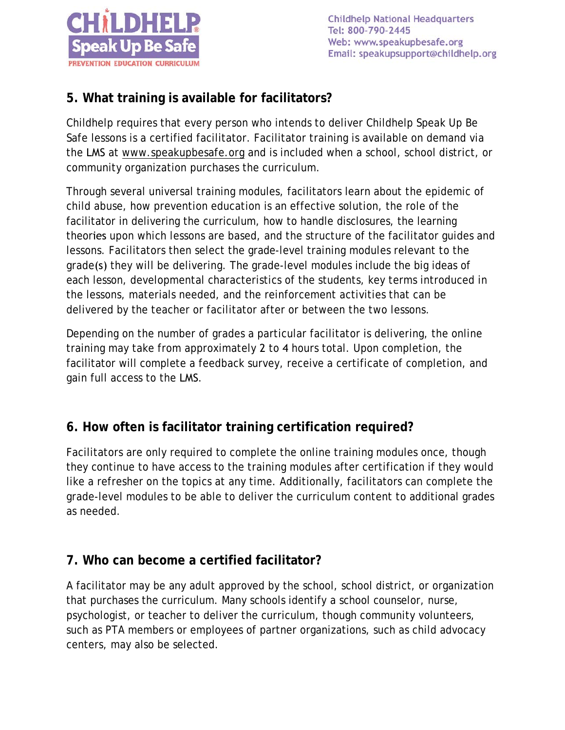

## **5. What training is available for facilitators?**

Childhelp requires that every person who intends to deliver Childhelp Speak Up Be Safe lessons is a certified facilitator. Facilitator training is available on demand via the LMS at [www.speakupbesafe.org](http://www.speakupbesafe.org/) and is included when a school, school district, or community organization purchases the curriculum.

Through several universal training modules, facilitators learn about the epidemic of child abuse, how prevention education is an effective solution, the role of the facilitator in delivering the curriculum, how to handle disclosures, the learning theories upon which lessons are based, and the structure of the facilitator guides and lessons. Facilitators then select the grade-level training modules relevant to the grade(s) they will be delivering. The grade-level modules include the big ideas of each lesson, developmental characteristics of the students, key terms introduced in the lessons, materials needed, and the reinforcement activities that can be delivered by the teacher or facilitator after or between the two lessons.

Depending on the number of grades a particular facilitator is delivering, the online training may take from approximately 2 to 4 hours total. Upon completion, the facilitator will complete a feedback survey, receive a certificate of completion, and gain full access to the LMS.

## **6. How often is facilitator training certification required?**

Facilitators are only required to complete the online training modules once, though they continue to have access to the training modules after certification if they would like a refresher on the topics at any time. Additionally, facilitators can complete the grade-level modules to be able to deliver the curriculum content to additional grades as needed.

## **7. Who can become a certified facilitator?**

A facilitator may be any adult approved by the school, school district, or organization that purchases the curriculum. Many schools identify a school counselor, nurse, psychologist, or teacher to deliver the curriculum, though community volunteers, such as PTA members or employees of partner organizations, such as child advocacy centers, may also be selected.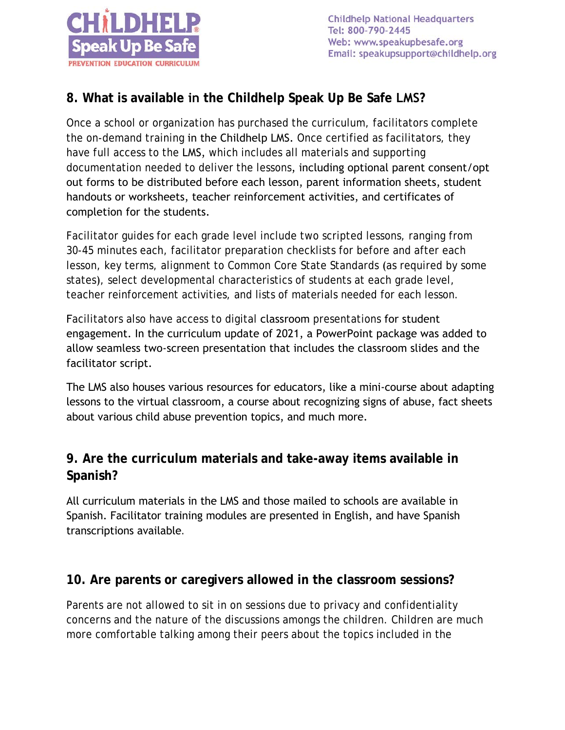

## **8. What is available in the Childhelp Speak Up Be Safe LMS?**

Once a school or organization has purchased the curriculum, facilitators complete the on-demand training in the Childhelp LMS. Once certified as facilitators, they have full access to the LMS, which includes all materials and supporting documentation needed to deliver the lessons, including optional parent consent/opt out forms to be distributed before each lesson, parent information sheets, student handouts or worksheets, teacher reinforcement activities, and certificates of completion for the students.

Facilitator guides for each grade level include two scripted lessons, ranging from 30-45 minutes each, facilitator preparation checklists for before and after each lesson, key terms, alignment to Common Core State Standards (as required by some states), select developmental characteristics of students at each grade level, teacher reinforcement activities, and lists of materials needed for each lesson.

Facilitators also have access to digital classroom presentations for student engagement. In the curriculum update of 2021, a PowerPoint package was added to allow seamless two-screen presentation that includes the classroom slides and the facilitator script.

The LMS also houses various resources for educators, like a mini-course about adapting lessons to the virtual classroom, a course about recognizing signs of abuse, fact sheets about various child abuse prevention topics, and much more.

## **9. Are the curriculum materials and take-away items available in Spanish?**

All curriculum materials in the LMS and those mailed to schools are available in Spanish. Facilitator training modules are presented in English, and have Spanish transcriptions available.

#### **10. Are parents or caregivers allowed in the classroom sessions?**

Parents are not allowed to sit in on sessions due to privacy and confidentiality concerns and the nature of the discussions amongs the children. Children are much more comfortable talking among their peers about the topics included in the